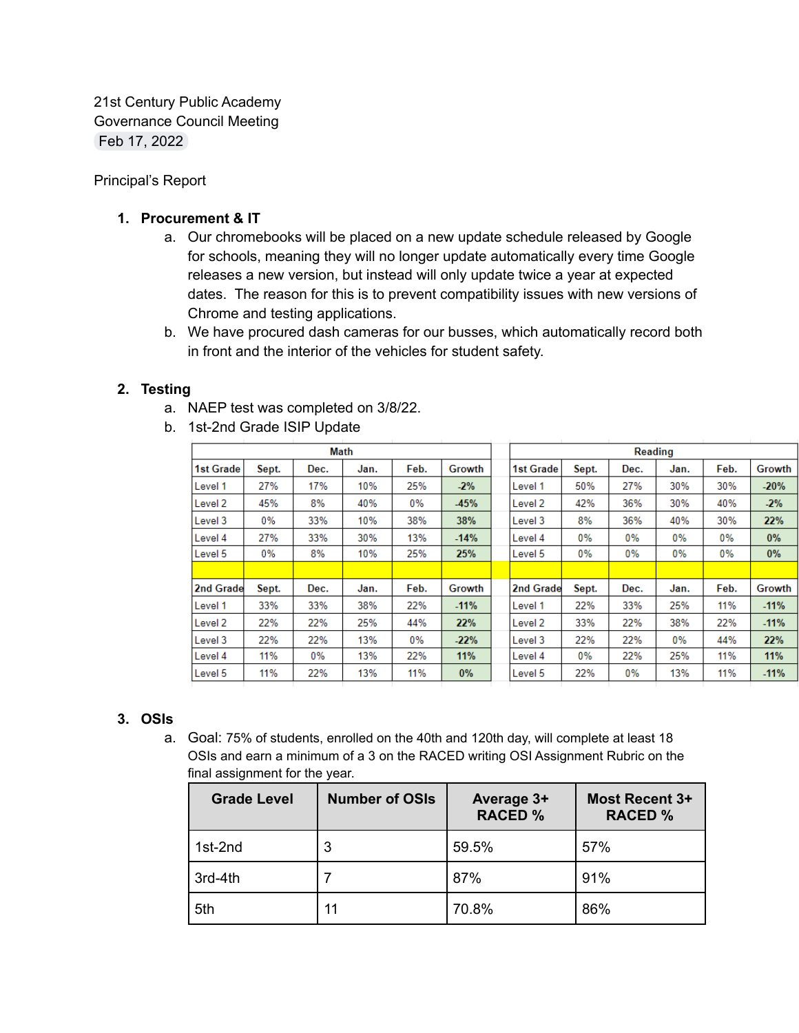21st Century Public Academy Governance Council Meeting Feb 17, 2022

Principal's Report

## **1. Procurement & IT**

- a. Our chromebooks will be placed on a new update schedule released by Google for schools, meaning they will no longer update automatically every time Google releases a new version, but instead will only update twice a year at expected dates. The reason for this is to prevent compatibility issues with new versions of Chrome and testing applications.
- b. We have procured dash cameras for our busses, which automatically record both in front and the interior of the vehicles for student safety.

## **2. Testing**

- a. NAEP test was completed on 3/8/22.
- b. 1st-2nd Grade ISIP Update

| Math             |       |       |      |       | Reading |                  |       |      |       |      |        |
|------------------|-------|-------|------|-------|---------|------------------|-------|------|-------|------|--------|
| <b>1st Grade</b> | Sept. | Dec.  | Jan. | Feb.  | Growth  | <b>1st Grade</b> | Sept. | Dec. | Jan.  | Feb. | Growth |
| Level 1          | 27%   | 17%   | 10%  | 25%   | $-2%$   | Level 1          | 50%   | 27%  | 30%   | 30%  | $-20%$ |
| Level 2          | 45%   | 8%    | 40%  | $0\%$ | $-45%$  | Level 2          | 42%   | 36%  | 30%   | 40%  | $-2%$  |
| Level 3          | 0%    | 33%   | 10%  | 38%   | 38%     | Level 3          | 8%    | 36%  | 40%   | 30%  | 22%    |
| Level 4          | 27%   | 33%   | 30%  | 13%   | $-14%$  | Level 4          | 0%    | 0%   | 0%    | 0%   | $0\%$  |
| Level 5          | 0%    | 8%    | 10%  | 25%   | 25%     | Level 5          | 0%    | 0%   | 0%    | 0%   | $0\%$  |
|                  |       |       |      |       |         |                  |       |      |       |      |        |
| 2nd Grade        | Sept. | Dec.  | Jan. | Feb.  | Growth  | 2nd Grade        | Sept. | Dec. | Jan.  | Feb. | Growth |
| Level 1          | 33%   | 33%   | 38%  | 22%   | $-11%$  | Level 1          | 22%   | 33%  | 25%   | 11%  | $-11%$ |
| Level 2          | 22%   | 22%   | 25%  | 44%   | 22%     | Level 2          | 33%   | 22%  | 38%   | 22%  | $-11%$ |
| Level 3          | 22%   | 22%   | 13%  | $0\%$ | $-22%$  | Level 3          | 22%   | 22%  | $0\%$ | 44%  | 22%    |
| Level 4          | 11%   | $0\%$ | 13%  | 22%   | 11%     | Level 4          | $0\%$ | 22%  | 25%   | 11%  | 11%    |
| Level 5          | 11%   | 22%   | 13%  | 11%   | $0\%$   | Level 5          | 22%   | 0%   | 13%   | 11%  | $-11%$ |

### **3. OSIs**

a. Goal: 75% of students, enrolled on the 40th and 120th day, will complete at least 18 OSIs and earn a minimum of a 3 on the RACED writing OSI Assignment Rubric on the final assignment for the year.

| <b>Grade Level</b> | <b>Number of OSIs</b> | Average 3+<br><b>RACED %</b> | <b>Most Recent 3+</b><br><b>RACED %</b> |  |
|--------------------|-----------------------|------------------------------|-----------------------------------------|--|
| 1st-2nd            | 3                     | 59.5%                        | 57%                                     |  |
| 3rd-4th            |                       | 87%                          | 91%                                     |  |
| 5th                | 11                    | 70.8%                        | 86%                                     |  |